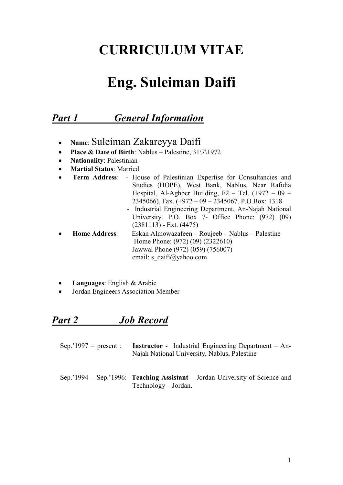# **CURRICULUM VITAE**

# **Eng. Suleiman Daifi**

# *Part 1 General Information*

- **Name**: Suleiman Zakareyya Daifi
- **Place & Date of Birth**: Nablus Palestine, 31\7\1972
- **Nationality**: Palestinian
- **Martial Status**: Married
- **Term Address**: House of Palestinian Expertise for Consultancies and Studies (HOPE), West Bank, Nablus, Near Rafidia Hospital, Al-Aghber Building, F<sub>2</sub> – Tel.  $(+972 - 09 -$ 2345066), Fax. (+972 – 09 – 2345067. P.O.Box: 1318
	- Industrial Engineering Department, An-Najah National University. P.O. Box 7- Office Phone: (972) (09) (2381113) - Ext. (4475)
- **Home Address**: Eskan Almowazafeen Roujeeb Nablus Palestine Home Phone: (972) (09) (2322610) Jawwal Phone (972) (059) (756007) email: s\_daifi@yahoo.com
- **Languages**: English & Arabic
- Jordan Engineers Association Member

# *Part 2 Job Record*

| Sep. $1997$ – present : <b>Instructor</b> - Industrial Engineering Department – An- |
|-------------------------------------------------------------------------------------|
| Najah National University, Nablus, Palestine                                        |

Sep.'1994 – Sep.'1996: **Teaching Assistant** – Jordan University of Science and Technology – Jordan.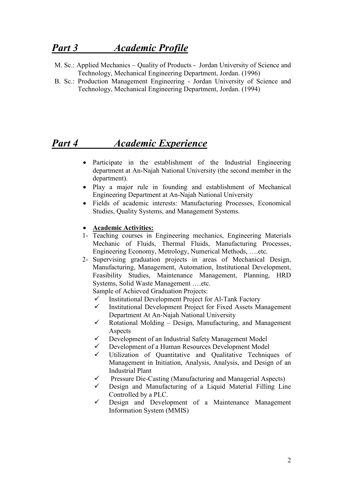# *Part 3 Academic Profile*

- M. Sc.: Applied Mechanics Quality of Products Jordan University of Science and Technology, Mechanical Engineering Department, Jordan. (1996)
- B. Sc.: Production Management Engineering Jordan University of Science and Technology, Mechanical Engineering Department, Jordan. (1994)

## *Part 4 Academic Experience*

- Participate in the establishment of the Industrial Engineering department at An-Najah National University (the second member in the department).
- Play a major rule in founding and establishment of Mechanical Engineering Department at An-Najah National University
- Fields of academic interests: Manufacturing Processes, Economical Studies, Quality Systems, and Management Systems.

#### • **Academic Activities:**

- 1- Teaching courses in Engineering mechanics, Engineering Materials Mechanic of Fluids, Thermal Fluids, Manufacturing Processes, Engineering Economy, Metrology, Numerical Methods, ….etc.
- 2- Supervising graduation projects in areas of Mechanical Design, Manufacturing, Management, Automation, Institutional Development, Feasibility Studies, Maintenance Management, Planning, HRD Systems, Solid Waste Management ….etc.

Sample of Achieved Graduation Projects:

- $\checkmark$  Institutional Development Project for Al-Tank Factory<br> $\checkmark$  Institutional Development Project for Fixed Assets M
- Institutional Development Project for Fixed Assets Management Department At An-Najah National University
- $\checkmark$  Rotational Molding Design, Manufacturing, and Management Aspects
- $\checkmark$  Development of an Industrial Safety Management Model
- Development of a Human Resources Development Model
- $\checkmark$  Utilization of Quantitative and Qualitative Techniques of Management in Initiation, Analysis, Analysis, and Design of an Industrial Plant
- $\checkmark$  Pressure Die-Casting (Manufacturing and Managerial Aspects)
- $\checkmark$  Design and Manufacturing of a Liquid Material Filling Line Controlled by a PLC.
- $\checkmark$  Design and Development of a Maintenance Management Information System (MMIS)